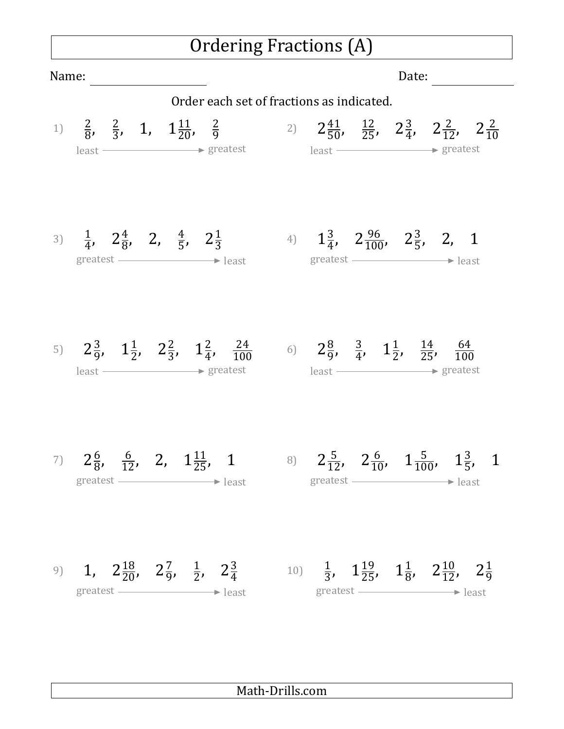## Ordering Fractions (A)